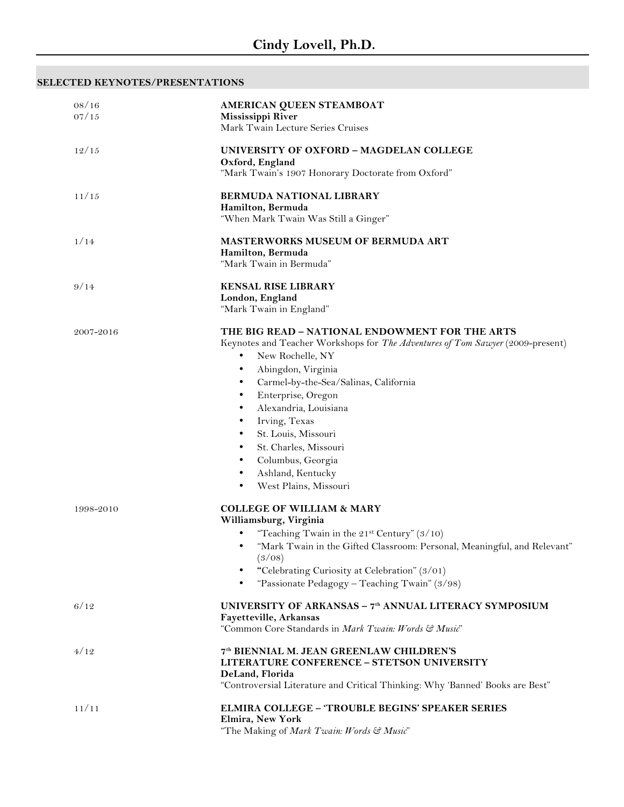## **SELECTED KEYNOTES/PRESENTATIONS**

| 08/16<br>07/15 | AMERICAN QUEEN STEAMBOAT<br>Mississippi River<br>Mark Twain Lecture Series Cruises                                                                                                                                                                                                                                                                                                                                                                          |
|----------------|-------------------------------------------------------------------------------------------------------------------------------------------------------------------------------------------------------------------------------------------------------------------------------------------------------------------------------------------------------------------------------------------------------------------------------------------------------------|
| 12/15          | UNIVERSITY OF OXFORD - MAGDELAN COLLEGE<br>Oxford, England<br>"Mark Twain's 1907 Honorary Doctorate from Oxford"                                                                                                                                                                                                                                                                                                                                            |
| 11/15          | <b>BERMUDA NATIONAL LIBRARY</b><br>Hamilton, Bermuda<br>"When Mark Twain Was Still a Ginger"                                                                                                                                                                                                                                                                                                                                                                |
| 1/14           | <b>MASTERWORKS MUSEUM OF BERMUDA ART</b><br>Hamilton, Bermuda<br>"Mark Twain in Bermuda"                                                                                                                                                                                                                                                                                                                                                                    |
| 9/14           | <b>KENSAL RISE LIBRARY</b><br>London, England<br>"Mark Twain in England"                                                                                                                                                                                                                                                                                                                                                                                    |
| 2007-2016      | THE BIG READ – NATIONAL ENDOWMENT FOR THE ARTS<br>Keynotes and Teacher Workshops for The Adventures of Tom Sawyer (2009-present)<br>New Rochelle, NY<br>٠<br>Abingdon, Virginia<br>٠<br>Carmel-by-the-Sea/Salinas, California<br>٠<br>Enterprise, Oregon<br>Alexandria, Louisiana<br>٠<br>Irving, Texas<br>٠<br>St. Louis, Missouri<br>٠<br>St. Charles, Missouri<br>Columbus, Georgia<br>٠<br>Ashland, Kentucky<br>٠<br>West Plains, Missouri<br>$\bullet$ |
| 1998-2010      | <b>COLLEGE OF WILLIAM &amp; MARY</b><br>Williamsburg, Virginia<br>"Teaching Twain in the $21st$ Century" (3/10)<br>"Mark Twain in the Gifted Classroom: Personal, Meaningful, and Relevant"<br>٠<br>(3/08)<br>"Celebrating Curiosity at Celebration" (3/01)<br>"Passionate Pedagogy – Teaching Twain" $(3/98)$<br>$\bullet$                                                                                                                                 |
| 6/12           | UNIVERSITY OF ARKANSAS - 7 <sup>th</sup> ANNUAL LITERACY SYMPOSIUM<br>Fayetteville, Arkansas<br>"Common Core Standards in Mark Twain: Words & Music"                                                                                                                                                                                                                                                                                                        |
| 4/12           | 7th BIENNIAL M. JEAN GREENLAW CHILDREN'S<br><b>LITERATURE CONFERENCE - STETSON UNIVERSITY</b><br>DeLand, Florida<br>"Controversial Literature and Critical Thinking: Why 'Banned' Books are Best"                                                                                                                                                                                                                                                           |
| 11/11          | <b>ELMIRA COLLEGE - 'TROUBLE BEGINS' SPEAKER SERIES</b><br>Elmira, New York<br>"The Making of Mark Twain: Words & Music"                                                                                                                                                                                                                                                                                                                                    |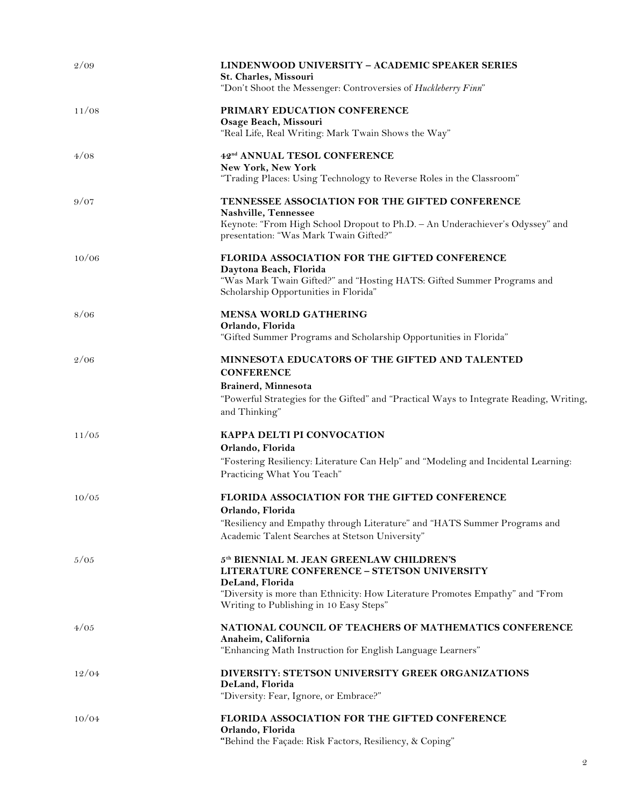| 2/09  | <b>LINDENWOOD UNIVERSITY - ACADEMIC SPEAKER SERIES</b><br>St. Charles, Missouri<br>"Don't Shoot the Messenger: Controversies of Huckleberry Finn"                                                                                            |
|-------|----------------------------------------------------------------------------------------------------------------------------------------------------------------------------------------------------------------------------------------------|
| 11/08 | PRIMARY EDUCATION CONFERENCE<br>Osage Beach, Missouri<br>"Real Life, Real Writing: Mark Twain Shows the Way"                                                                                                                                 |
| 4/08  | 42 <sup>nd</sup> ANNUAL TESOL CONFERENCE<br>New York, New York<br>"Trading Places: Using Technology to Reverse Roles in the Classroom"                                                                                                       |
| 9/07  | TENNESSEE ASSOCIATION FOR THE GIFTED CONFERENCE<br>Nashville, Tennessee<br>Keynote: "From High School Dropout to Ph.D. - An Underachiever's Odyssey" and<br>presentation: "Was Mark Twain Gifted?"                                           |
| 10/06 | FLORIDA ASSOCIATION FOR THE GIFTED CONFERENCE<br>Daytona Beach, Florida<br>"Was Mark Twain Gifted?" and "Hosting HATS: Gifted Summer Programs and<br>Scholarship Opportunities in Florida"                                                   |
| 8/06  | MENSA WORLD GATHERING<br>Orlando, Florida<br>"Gifted Summer Programs and Scholarship Opportunities in Florida"                                                                                                                               |
| 2/06  | MINNESOTA EDUCATORS OF THE GIFTED AND TALENTED<br><b>CONFERENCE</b><br>Brainerd, Minnesota<br>"Powerful Strategies for the Gifted" and "Practical Ways to Integrate Reading, Writing,<br>and Thinking"                                       |
| 11/05 | KAPPA DELTI PI CONVOCATION<br>Orlando, Florida<br>"Fostering Resiliency: Literature Can Help" and "Modeling and Incidental Learning:<br>Practicing What You Teach"                                                                           |
| 10/05 | FLORIDA ASSOCIATION FOR THE GIFTED CONFERENCE<br>Orlando, Florida<br>"Resiliency and Empathy through Literature" and "HATS Summer Programs and<br>Academic Talent Searches at Stetson University"                                            |
| 5/05  | 5th BIENNIAL M. JEAN GREENLAW CHILDREN'S<br><b>LITERATURE CONFERENCE - STETSON UNIVERSITY</b><br>DeLand, Florida<br>"Diversity is more than Ethnicity: How Literature Promotes Empathy" and "From<br>Writing to Publishing in 10 Easy Steps" |
| 4/05  | NATIONAL COUNCIL OF TEACHERS OF MATHEMATICS CONFERENCE<br>Anaheim, California<br>"Enhancing Math Instruction for English Language Learners"                                                                                                  |
| 12/04 | DIVERSITY: STETSON UNIVERSITY GREEK ORGANIZATIONS<br>DeLand, Florida<br>"Diversity: Fear, Ignore, or Embrace?"                                                                                                                               |
| 10/04 | FLORIDA ASSOCIATION FOR THE GIFTED CONFERENCE<br>Orlando, Florida<br>"Behind the Façade: Risk Factors, Resiliency, & Coping"                                                                                                                 |